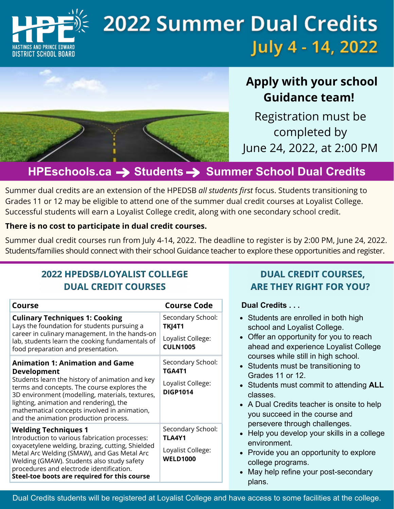

# **2022 Summer Dual Credits** July 4 - 14, 2022

# **Apply with your school Guidance team!**

Registration must be completed by June 24, 2022, at 2:00 PM

# **HPEschools.ca**  $\rightarrow$  **Students**  $\rightarrow$  **Summer School Dual Credits**

Summer dual credits are an extension of the HPEDSB *all students first* focus. Students transitioning to Grades 11 or 12 may be eligible to attend one of the summer dual credit courses at Loyalist College. Successful students will earn a Loyalist College credit, along with one secondary school credit.

#### **There is no cost to participate in dual credit courses.**

Summer dual credit courses run from July 4-14, 2022. The deadline to register is by 2:00 PM, June 24, 2022. Students/families should connect with their school Guidance teacher to explore these opportunities and register.

### **2022 HPEDSB/LOYALIST COLLEGE DUAL CREDIT COURSES**

| Course                                                                                                                                                                                                                                                                                                                                                | <b>Course Code</b>                                                         |
|-------------------------------------------------------------------------------------------------------------------------------------------------------------------------------------------------------------------------------------------------------------------------------------------------------------------------------------------------------|----------------------------------------------------------------------------|
| <b>Culinary Techniques 1: Cooking</b><br>Lays the foundation for students pursuing a<br>career in culinary management. In the hands-on<br>lab, students learn the cooking fundamentals of<br>food preparation and presentation.                                                                                                                       | Secondary School:<br><b>TKJ4T1</b><br>Loyalist College:<br><b>CULN1005</b> |
| <b>Animation 1: Animation and Game</b><br><b>Development</b><br>Students learn the history of animation and key<br>terms and concepts. The course explores the<br>3D environment (modelling, materials, textures,<br>lighting, animation and rendering), the<br>mathematical concepts involved in animation,<br>and the animation production process. | Secondary School:<br>TGA4T1<br>Loyalist College:<br><b>DIGP1014</b>        |
| <b>Welding Techniques 1</b><br>Introduction to various fabrication processes:<br>oxyacetylene welding, brazing, cutting, Shielded<br>Metal Arc Welding (SMAW), and Gas Metal Arc<br>Welding (GMAW). Students also study safety<br>procedures and electrode identification.<br>Steel-toe boots are required for this course                            | Secondary School:<br>TLA4Y1<br>Loyalist College:<br><b>WELD1000</b>        |

#### **DUAL CREDIT COURSES. ARE THEY RIGHT FOR YOU?**

#### **Dual Credits . . .**

- Students are enrolled in both high school and Loyalist College.
- Offer an opportunity for you to reach ahead and experience Loyalist College courses while still in high school.
- Students must be transitioning to Grades 11 or 12.
- Students must commit to attending **ALL** classes.
- A Dual Credits teacher is onsite to help you succeed in the course and persevere through challenges.
- Help you develop your skills in a college environment.
- Provide you an opportunity to explore college programs.
- May help refine your post-secondary plans.

Dual Credits students will be registered at Loyalist College and have access to some facilities at the college.